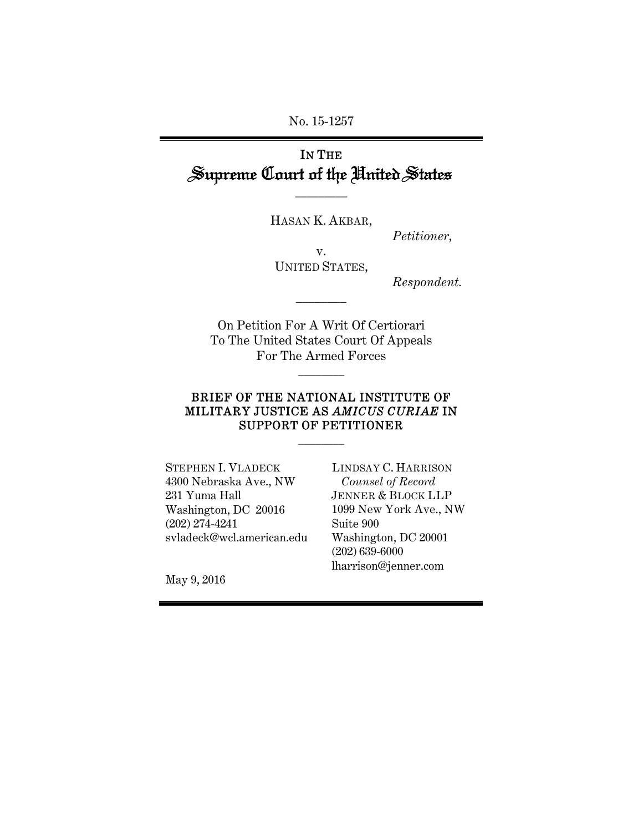No. 15-1257

## IN THE Supreme Court of the United States

HASAN K. AKBAR,

\_\_\_\_\_\_\_\_\_

*Petitioner,* 

v. UNITED STATES,

\_\_\_\_\_\_\_\_

*Respondent.*

On Petition For A Writ Of Certiorari To The United States Court Of Appeals For The Armed Forces

\_\_\_\_\_\_\_\_

#### BRIEF OF THE NATIONAL INSTITUTE OF MILITARY JUSTICE AS *AMICUS CURIAE* IN SUPPORT OF PETITIONER

 $\overline{\phantom{a}}$ 

STEPHEN I. VLADECK 4300 Nebraska Ave., NW 231 Yuma Hall Washington, DC 20016 (202) 274-4241 svladeck@wcl.american.edu

LINDSAY C. HARRISON *Counsel of Record* JENNER & BLOCK LLP 1099 New York Ave., NW Suite 900 Washington, DC 20001 (202) 639-6000 lharrison@jenner.com

May 9, 2016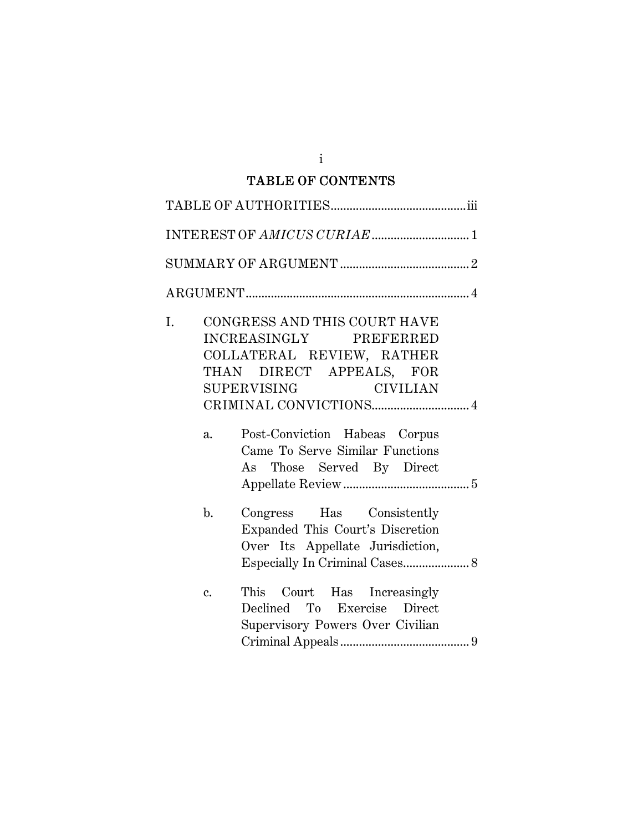## TABLE OF CONTENTS

| I. | $a_{\cdot}$    | CONGRESS AND THIS COURT HAVE<br>INCREASINGLY PREFERRED<br>COLLATERAL REVIEW, RATHER<br>THAN DIRECT APPEALS, FOR<br>SUPERVISING CIVILIAN<br>Post-Conviction Habeas Corpus<br>Came To Serve Similar Functions<br>As Those Served By Direct |
|----|----------------|------------------------------------------------------------------------------------------------------------------------------------------------------------------------------------------------------------------------------------------|
|    | $\mathbf{b}$ . | Congress Has Consistently<br>Expanded This Court's Discretion<br>Over Its Appellate Jurisdiction,                                                                                                                                        |
|    | $\mathbf{c}$ . | This Court Has Increasingly<br>Declined To Exercise Direct<br>Supervisory Powers Over Civilian                                                                                                                                           |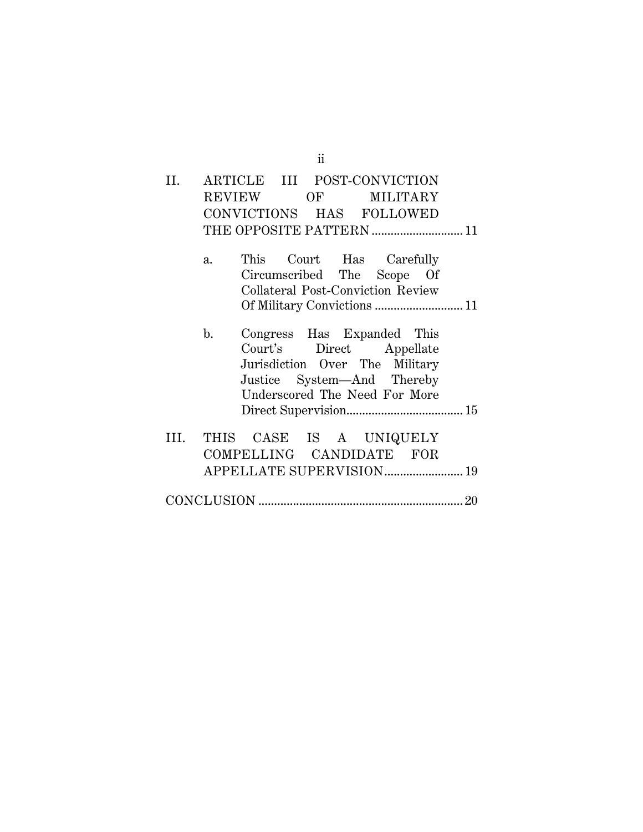| II.  |             | ARTICLE III POST-CONVICTION                         |                                                                                                                                                         |  |
|------|-------------|-----------------------------------------------------|---------------------------------------------------------------------------------------------------------------------------------------------------------|--|
|      |             | REVIEW                                              | OF MILITARY                                                                                                                                             |  |
|      |             | CONVICTIONS HAS FOLLOWED                            |                                                                                                                                                         |  |
|      |             | THE OPPOSITE PATTERN  11                            |                                                                                                                                                         |  |
|      | $a_{\cdot}$ |                                                     | This Court Has Carefully<br>Circumscribed The Scope Of<br><b>Collateral Post-Conviction Review</b>                                                      |  |
|      |             |                                                     |                                                                                                                                                         |  |
|      | b.          |                                                     | Congress Has Expanded This<br>Court's Direct Appellate<br>Jurisdiction Over The Military<br>Justice System—And Thereby<br>Underscored The Need For More |  |
|      |             |                                                     |                                                                                                                                                         |  |
| III. |             | THIS CASE IS A UNIQUELY<br>COMPELLING CANDIDATE FOR |                                                                                                                                                         |  |
|      |             | APPELLATE SUPERVISION 19                            |                                                                                                                                                         |  |
|      |             |                                                     |                                                                                                                                                         |  |

ii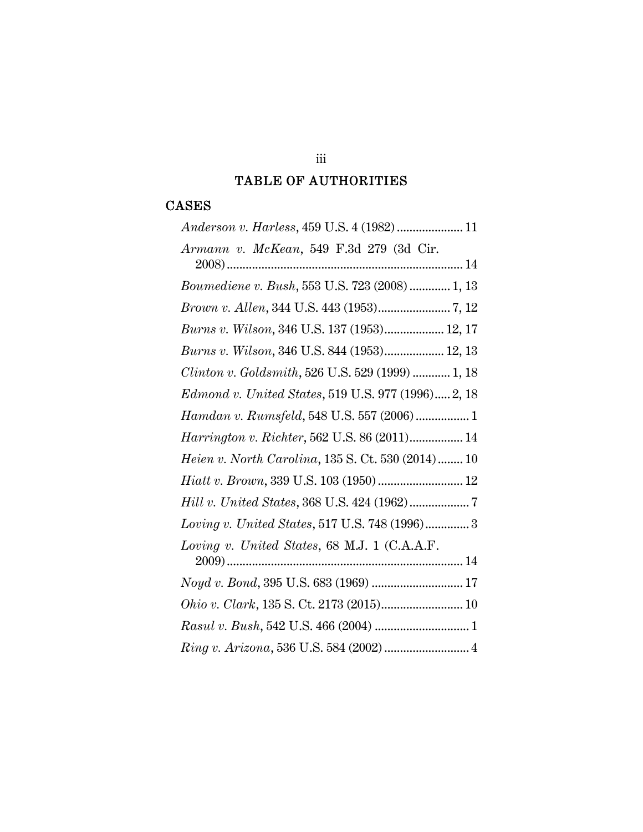### TABLE OF AUTHORITIES

## CASES

| Anderson v. Harless, 459 U.S. 4 (1982)  11                |
|-----------------------------------------------------------|
| Armann v. McKean, 549 F.3d 279 (3d Cir.                   |
|                                                           |
| <i>Boumediene v. Bush,</i> 553 U.S. 723 (2008)  1, 13     |
|                                                           |
| Burns v. Wilson, 346 U.S. 137 (1953) 12, 17               |
| Burns v. Wilson, 346 U.S. 844 (1953) 12, 13               |
| Clinton v. Goldsmith, 526 U.S. 529 (1999)  1, 18          |
| Edmond v. United States, 519 U.S. 977 (1996) 2, 18        |
| Hamdan v. Rumsfeld, 548 U.S. 557 (2006)  1                |
| Harrington v. Richter, 562 U.S. 86 (2011) 14              |
| <i>Heien v. North Carolina</i> , 135 S. Ct. 530 (2014) 10 |
| Hiatt v. Brown, 339 U.S. 103 (1950)  12                   |
|                                                           |
| Loving v. United States, 517 U.S. 748 (1996) 3            |
| Loving v. United States, 68 M.J. 1 (C.A.A.F.              |
|                                                           |
| Noyd v. Bond, 395 U.S. 683 (1969)  17                     |
|                                                           |
|                                                           |
| Ring v. Arizona, 536 U.S. 584 (2002)  4                   |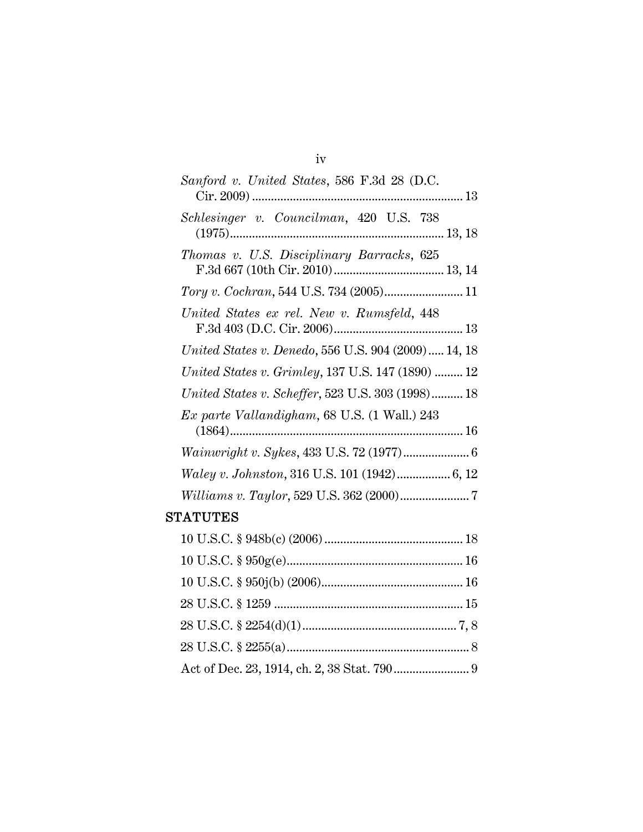| Sanford v. United States, 586 F.3d 28 (D.C.         |
|-----------------------------------------------------|
| Schlesinger v. Councilman, 420 U.S. 738             |
| Thomas v. U.S. Disciplinary Barracks, 625           |
|                                                     |
| United States ex rel. New v. Rumsfeld, 448          |
| United States v. Denedo, 556 U.S. 904 (2009) 14, 18 |
| United States v. Grimley, 137 U.S. 147 (1890)  12   |
| United States v. Scheffer, 523 U.S. 303 (1998) 18   |
| Ex parte Vallandigham, 68 U.S. (1 Wall.) 243        |
|                                                     |
|                                                     |
|                                                     |
| TATUTES                                             |
|                                                     |

# $S<sub>1</sub>$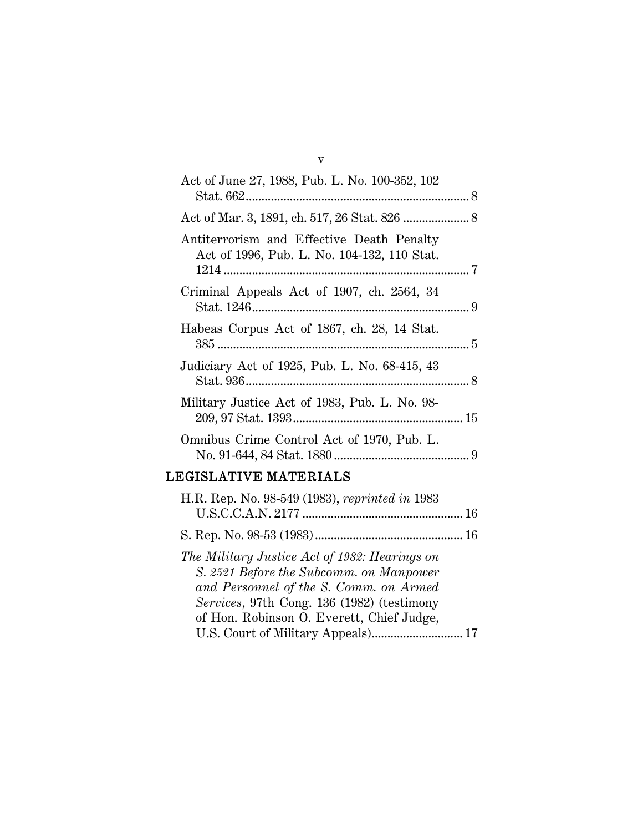| Act of June 27, 1988, Pub. L. No. 100-352, 102                                           |  |
|------------------------------------------------------------------------------------------|--|
|                                                                                          |  |
| Antiterrorism and Effective Death Penalty<br>Act of 1996, Pub. L. No. 104-132, 110 Stat. |  |
| Criminal Appeals Act of 1907, ch. 2564, 34                                               |  |
| Habeas Corpus Act of 1867, ch. 28, 14 Stat.                                              |  |
| Judiciary Act of 1925, Pub. L. No. 68-415, 43                                            |  |
| Military Justice Act of 1983, Pub. L. No. 98-                                            |  |
| Omnibus Crime Control Act of 1970, Pub. L.                                               |  |
|                                                                                          |  |

## LEGISLATIVE MATERIALS

| H.R. Rep. No. 98-549 (1983), reprinted in 1983 |  |
|------------------------------------------------|--|
|                                                |  |
|                                                |  |
| The Military Justice Act of 1982: Hearings on  |  |
| S. 2521 Before the Subcomm. on Manpower        |  |
| and Personnel of the S. Comm. on Armed         |  |
| Services, 97th Cong. 136 (1982) (testimony     |  |
| of Hon. Robinson O. Everett, Chief Judge,      |  |
|                                                |  |

v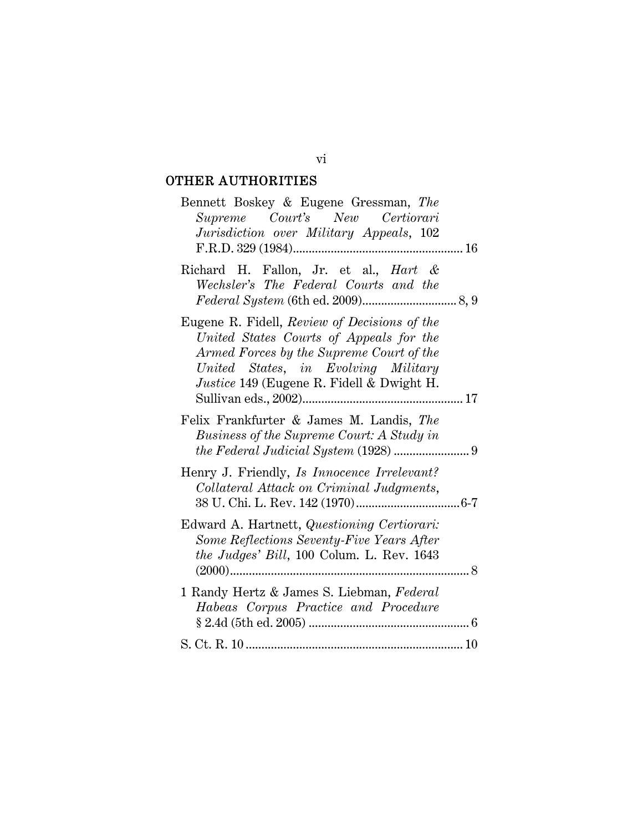## OTHER AUTHORITIES

| Bennett Boskey & Eugene Gressman, The<br>Supreme Court's New Certiorari<br>Jurisdiction over Military Appeals, 102                                                                                                             |
|--------------------------------------------------------------------------------------------------------------------------------------------------------------------------------------------------------------------------------|
| Richard H. Fallon, Jr. et al., <i>Hart &amp;</i><br>Wechsler's The Federal Courts and the                                                                                                                                      |
| Eugene R. Fidell, Review of Decisions of the<br>United States Courts of Appeals for the<br>Armed Forces by the Supreme Court of the<br>United States, in Evolving Military<br><i>Justice</i> 149 (Eugene R. Fidell & Dwight H. |
| Felix Frankfurter & James M. Landis, The<br>Business of the Supreme Court: A Study in                                                                                                                                          |
| Henry J. Friendly, Is Innocence Irrelevant?<br>Collateral Attack on Criminal Judgments,                                                                                                                                        |
| Edward A. Hartnett, Questioning Certiorari:<br>Some Reflections Seventy-Five Years After<br>the Judges' Bill, 100 Colum. L. Rev. 1643                                                                                          |
| 1 Randy Hertz & James S. Liebman, Federal<br>Habeas Corpus Practice and Procedure                                                                                                                                              |
|                                                                                                                                                                                                                                |

vi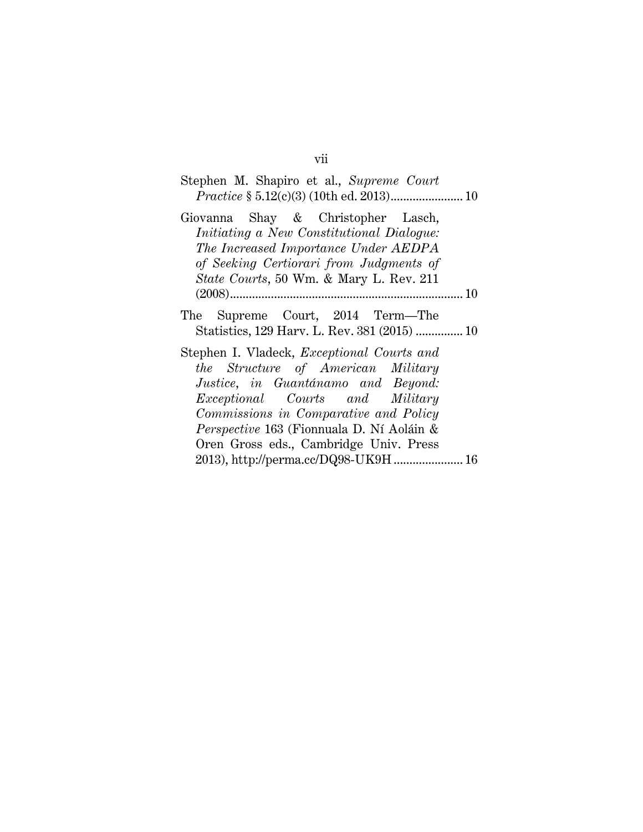| Stephen M. Shapiro et al., Supreme Court                                                                                                                                                                                                                                                                |  |
|---------------------------------------------------------------------------------------------------------------------------------------------------------------------------------------------------------------------------------------------------------------------------------------------------------|--|
| Giovanna Shay & Christopher Lasch,<br>Initiating a New Constitutional Dialogue:<br>The Increased Importance Under AEDPA<br>of Seeking Certiorari from Judgments of<br><i>State Courts</i> , 50 Wm. & Mary L. Rev. 211                                                                                   |  |
|                                                                                                                                                                                                                                                                                                         |  |
| The Supreme Court, 2014 Term-The<br>Statistics, 129 Harv. L. Rev. 381 (2015)  10                                                                                                                                                                                                                        |  |
| Stephen I. Vladeck, <i>Exceptional Courts and</i><br>the Structure of American Military<br>Justice, in Guantánamo and Beyond:<br><i>Exceptional Courts and Military</i><br>Commissions in Comparative and Policy<br>Perspective 163 (Fionnuala D. Ní Aoláin &<br>Oren Gross eds., Cambridge Univ. Press |  |
| 2013), http://perma.cc/DQ98-UK9H 16                                                                                                                                                                                                                                                                     |  |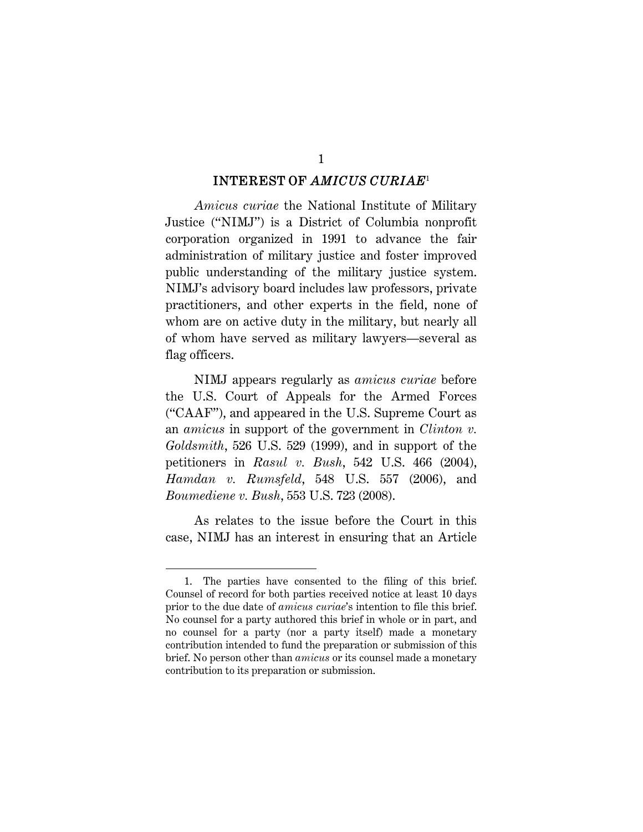#### INTEREST OF *AMICUS CURIAE*<sup>1</sup>

1

*Amicus curiae* the National Institute of Military Justice ("NIMJ") is a District of Columbia nonprofit corporation organized in 1991 to advance the fair administration of military justice and foster improved public understanding of the military justice system. NIMJ's advisory board includes law professors, private practitioners, and other experts in the field, none of whom are on active duty in the military, but nearly all of whom have served as military lawyers—several as flag officers.

NIMJ appears regularly as *amicus curiae* before the U.S. Court of Appeals for the Armed Forces ("CAAF"), and appeared in the U.S. Supreme Court as an *amicus* in support of the government in *Clinton v. Goldsmith*, 526 U.S. 529 (1999), and in support of the petitioners in *Rasul v. Bush*, 542 U.S. 466 (2004), *Hamdan v. Rumsfeld*, 548 U.S. 557 (2006), and *Boumediene v. Bush*, 553 U.S. 723 (2008).

As relates to the issue before the Court in this case, NIMJ has an interest in ensuring that an Article

<sup>1.</sup> The parties have consented to the filing of this brief. Counsel of record for both parties received notice at least 10 days prior to the due date of *amicus curiae*'s intention to file this brief. No counsel for a party authored this brief in whole or in part, and no counsel for a party (nor a party itself) made a monetary contribution intended to fund the preparation or submission of this brief. No person other than *amicus* or its counsel made a monetary contribution to its preparation or submission.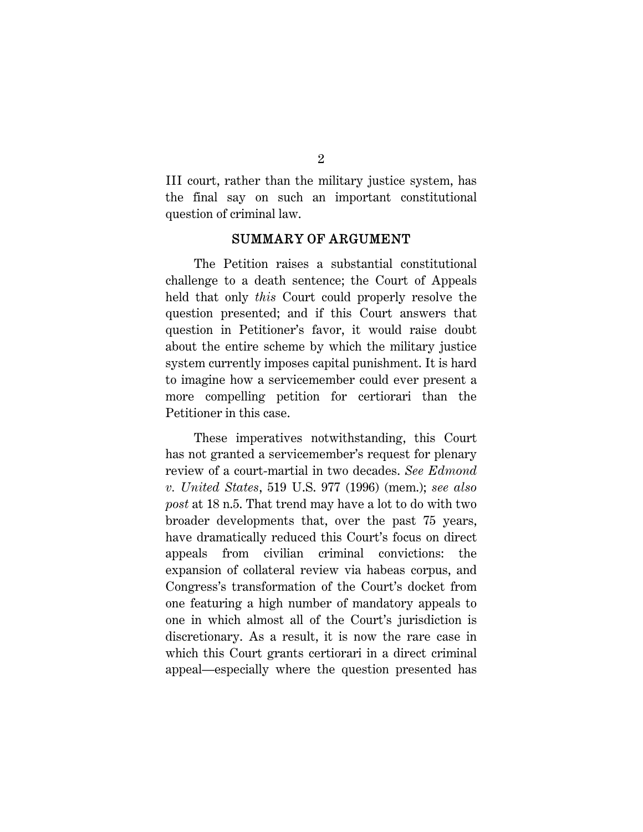III court, rather than the military justice system, has the final say on such an important constitutional question of criminal law.

#### SUMMARY OF ARGUMENT

The Petition raises a substantial constitutional challenge to a death sentence; the Court of Appeals held that only *this* Court could properly resolve the question presented; and if this Court answers that question in Petitioner's favor, it would raise doubt about the entire scheme by which the military justice system currently imposes capital punishment. It is hard to imagine how a servicemember could ever present a more compelling petition for certiorari than the Petitioner in this case.

These imperatives notwithstanding, this Court has not granted a servicemember's request for plenary review of a court-martial in two decades. *See Edmond v. United States*, 519 U.S. 977 (1996) (mem.); *see also post* at 18 n.5. That trend may have a lot to do with two broader developments that, over the past 75 years, have dramatically reduced this Court's focus on direct appeals from civilian criminal convictions: the expansion of collateral review via habeas corpus, and Congress's transformation of the Court's docket from one featuring a high number of mandatory appeals to one in which almost all of the Court's jurisdiction is discretionary. As a result, it is now the rare case in which this Court grants certiorari in a direct criminal appeal—especially where the question presented has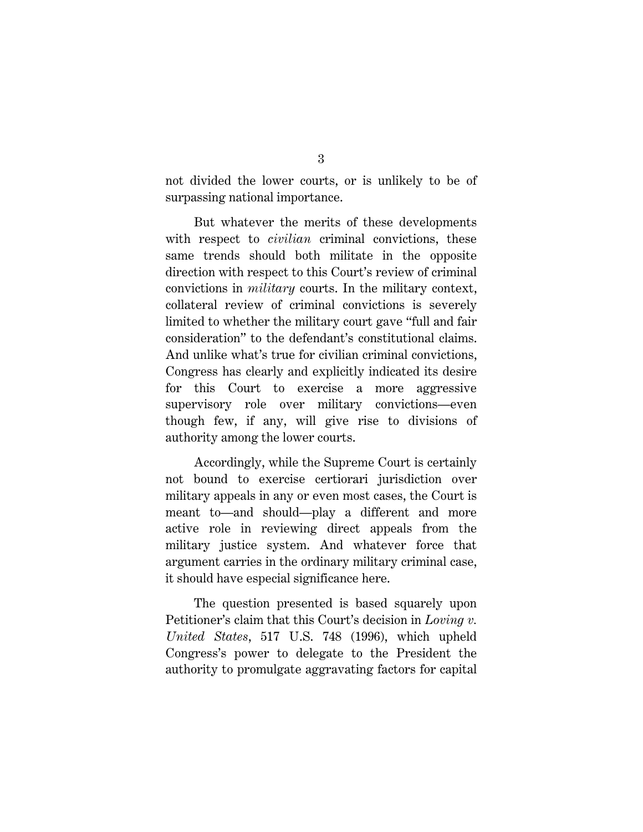not divided the lower courts, or is unlikely to be of surpassing national importance.

But whatever the merits of these developments with respect to *civilian* criminal convictions, these same trends should both militate in the opposite direction with respect to this Court's review of criminal convictions in *military* courts. In the military context, collateral review of criminal convictions is severely limited to whether the military court gave "full and fair consideration" to the defendant's constitutional claims. And unlike what's true for civilian criminal convictions, Congress has clearly and explicitly indicated its desire for this Court to exercise a more aggressive supervisory role over military convictions—even though few, if any, will give rise to divisions of authority among the lower courts.

Accordingly, while the Supreme Court is certainly not bound to exercise certiorari jurisdiction over military appeals in any or even most cases, the Court is meant to—and should—play a different and more active role in reviewing direct appeals from the military justice system. And whatever force that argument carries in the ordinary military criminal case, it should have especial significance here.

The question presented is based squarely upon Petitioner's claim that this Court's decision in *Loving v. United States*, 517 U.S. 748 (1996), which upheld Congress's power to delegate to the President the authority to promulgate aggravating factors for capital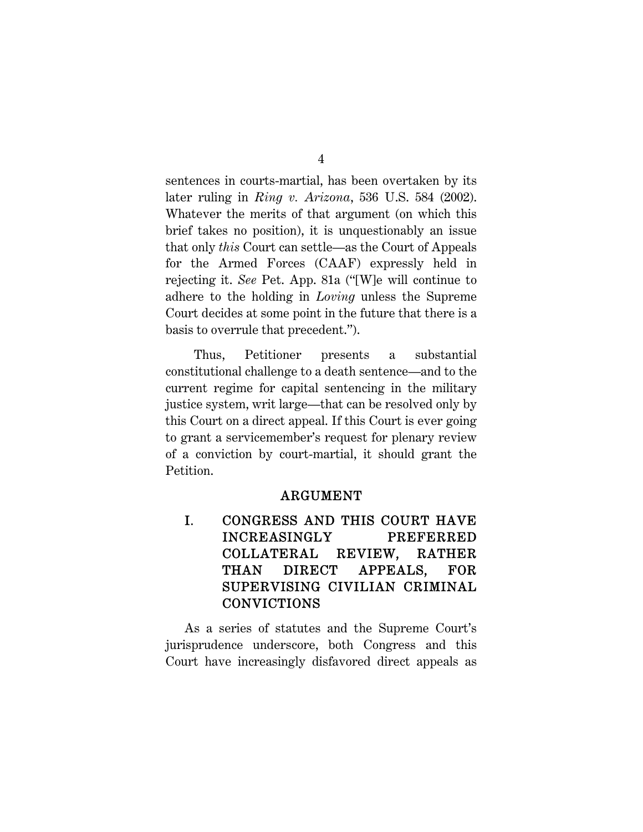sentences in courts-martial, has been overtaken by its later ruling in *Ring v. Arizona*, 536 U.S. 584 (2002). Whatever the merits of that argument (on which this brief takes no position), it is unquestionably an issue that only *this* Court can settle—as the Court of Appeals for the Armed Forces (CAAF) expressly held in rejecting it. *See* Pet. App. 81a ("[W]e will continue to adhere to the holding in *Loving* unless the Supreme Court decides at some point in the future that there is a basis to overrule that precedent.").

Thus, Petitioner presents a substantial constitutional challenge to a death sentence—and to the current regime for capital sentencing in the military justice system, writ large—that can be resolved only by this Court on a direct appeal. If this Court is ever going to grant a servicemember's request for plenary review of a conviction by court-martial, it should grant the Petition.

#### ARGUMENT

I. CONGRESS AND THIS COURT HAVE INCREASINGLY PREFERRED COLLATERAL REVIEW, RATHER THAN DIRECT APPEALS, FOR SUPERVISING CIVILIAN CRIMINAL CONVICTIONS

As a series of statutes and the Supreme Court's jurisprudence underscore, both Congress and this Court have increasingly disfavored direct appeals as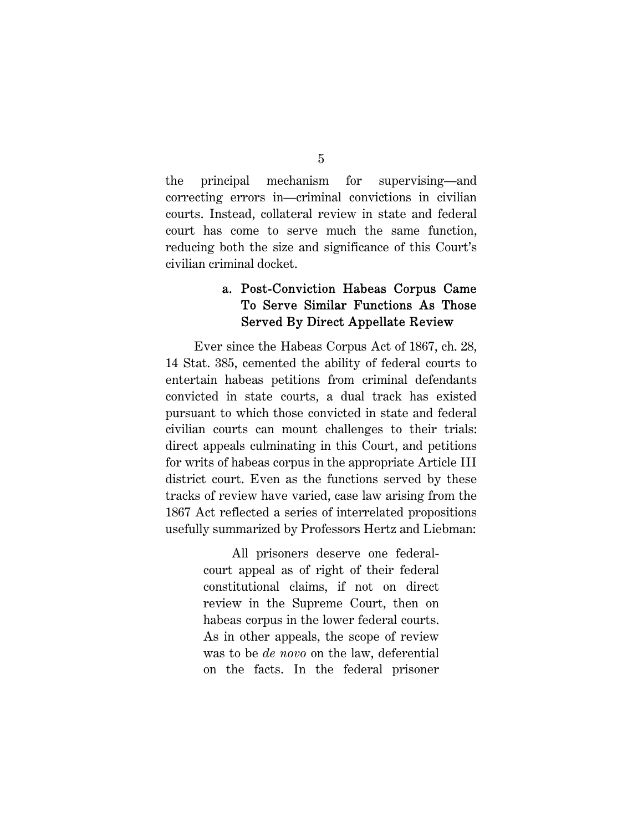the principal mechanism for supervising—and correcting errors in—criminal convictions in civilian courts. Instead, collateral review in state and federal court has come to serve much the same function, reducing both the size and significance of this Court's civilian criminal docket.

### a. Post-Conviction Habeas Corpus Came To Serve Similar Functions As Those Served By Direct Appellate Review

Ever since the Habeas Corpus Act of 1867, ch. 28, 14 Stat. 385, cemented the ability of federal courts to entertain habeas petitions from criminal defendants convicted in state courts, a dual track has existed pursuant to which those convicted in state and federal civilian courts can mount challenges to their trials: direct appeals culminating in this Court, and petitions for writs of habeas corpus in the appropriate Article III district court. Even as the functions served by these tracks of review have varied, case law arising from the 1867 Act reflected a series of interrelated propositions usefully summarized by Professors Hertz and Liebman:

> All prisoners deserve one federalcourt appeal as of right of their federal constitutional claims, if not on direct review in the Supreme Court, then on habeas corpus in the lower federal courts. As in other appeals, the scope of review was to be *de novo* on the law, deferential on the facts. In the federal prisoner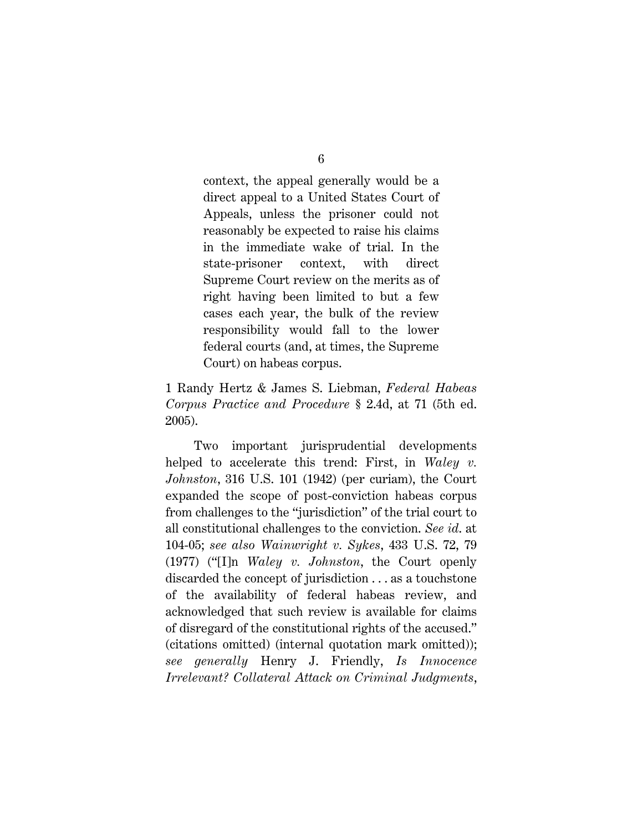context, the appeal generally would be a direct appeal to a United States Court of Appeals, unless the prisoner could not reasonably be expected to raise his claims in the immediate wake of trial. In the state-prisoner context, with direct Supreme Court review on the merits as of right having been limited to but a few cases each year, the bulk of the review responsibility would fall to the lower federal courts (and, at times, the Supreme Court) on habeas corpus.

1 Randy Hertz & James S. Liebman, *Federal Habeas Corpus Practice and Procedure* § 2.4d, at 71 (5th ed. 2005).

Two important jurisprudential developments helped to accelerate this trend: First, in *Waley v. Johnston*, 316 U.S. 101 (1942) (per curiam), the Court expanded the scope of post-conviction habeas corpus from challenges to the "jurisdiction" of the trial court to all constitutional challenges to the conviction. *See id*. at 104-05; *see also Wainwright v. Sykes*, 433 U.S. 72, 79 (1977) ("[I]n *Waley v. Johnston*, the Court openly discarded the concept of jurisdiction . . . as a touchstone of the availability of federal habeas review, and acknowledged that such review is available for claims of disregard of the constitutional rights of the accused." (citations omitted) (internal quotation mark omitted)); *see generally* Henry J. Friendly, *Is Innocence Irrelevant? Collateral Attack on Criminal Judgments*,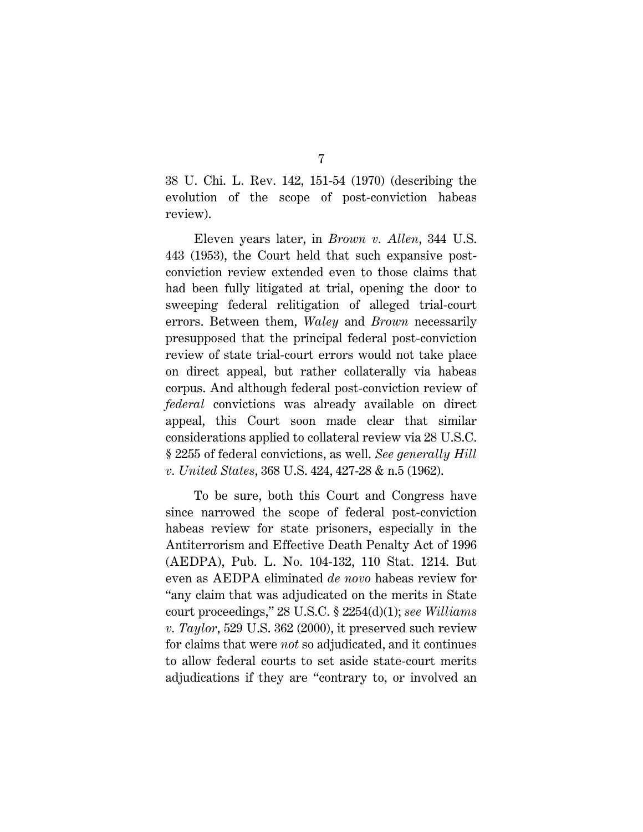38 U. Chi. L. Rev. 142, 151-54 (1970) (describing the evolution of the scope of post-conviction habeas review).

Eleven years later, in *Brown v. Allen*, 344 U.S. 443 (1953), the Court held that such expansive postconviction review extended even to those claims that had been fully litigated at trial, opening the door to sweeping federal relitigation of alleged trial-court errors. Between them, *Waley* and *Brown* necessarily presupposed that the principal federal post-conviction review of state trial-court errors would not take place on direct appeal, but rather collaterally via habeas corpus. And although federal post-conviction review of *federal* convictions was already available on direct appeal, this Court soon made clear that similar considerations applied to collateral review via 28 U.S.C. § 2255 of federal convictions, as well. *See generally Hill v. United States*, 368 U.S. 424, 427-28 & n.5 (1962).

To be sure, both this Court and Congress have since narrowed the scope of federal post-conviction habeas review for state prisoners, especially in the Antiterrorism and Effective Death Penalty Act of 1996 (AEDPA), Pub. L. No. 104-132, 110 Stat. 1214. But even as AEDPA eliminated *de novo* habeas review for "any claim that was adjudicated on the merits in State court proceedings," 28 U.S.C. § 2254(d)(1); *see Williams v. Taylor*, 529 U.S. 362 (2000), it preserved such review for claims that were *not* so adjudicated, and it continues to allow federal courts to set aside state-court merits adjudications if they are "contrary to, or involved an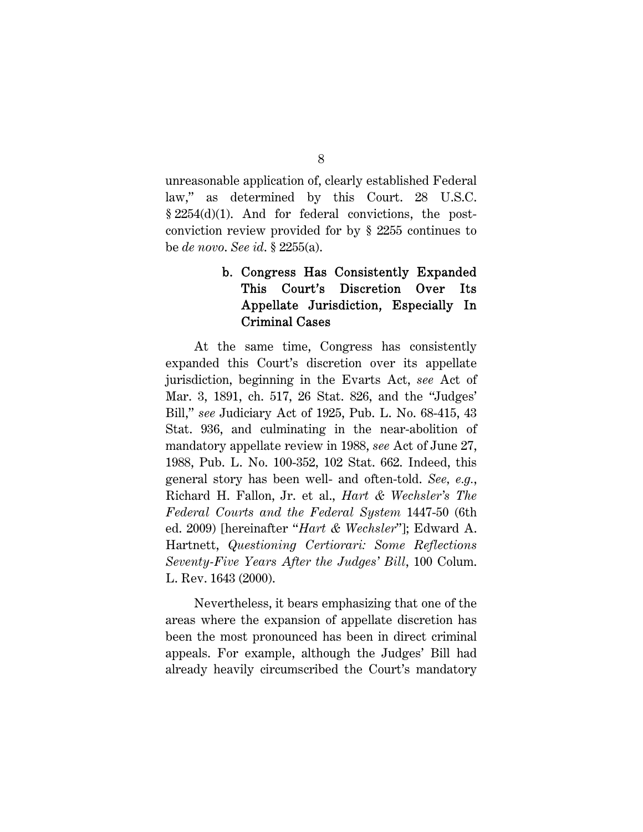unreasonable application of, clearly established Federal law," as determined by this Court. 28 U.S.C. § 2254(d)(1). And for federal convictions, the postconviction review provided for by § 2255 continues to be *de novo*. *See id*. § 2255(a).

## b. Congress Has Consistently Expanded This Court's Discretion Over Its Appellate Jurisdiction, Especially In Criminal Cases

At the same time, Congress has consistently expanded this Court's discretion over its appellate jurisdiction, beginning in the Evarts Act, *see* Act of Mar. 3, 1891, ch. 517, 26 Stat. 826, and the "Judges' Bill," *see* Judiciary Act of 1925, Pub. L. No. 68-415, 43 Stat. 936, and culminating in the near-abolition of mandatory appellate review in 1988, *see* Act of June 27, 1988, Pub. L. No. 100-352, 102 Stat. 662. Indeed, this general story has been well- and often-told. *See, e.g.*, Richard H. Fallon, Jr. et al., *Hart & Wechsler's The Federal Courts and the Federal System* 1447-50 (6th ed. 2009) [hereinafter "*Hart & Wechsler*"]; Edward A. Hartnett, *Questioning Certiorari: Some Reflections Seventy-Five Years After the Judges' Bill*, 100 Colum. L. Rev. 1643 (2000).

Nevertheless, it bears emphasizing that one of the areas where the expansion of appellate discretion has been the most pronounced has been in direct criminal appeals. For example, although the Judges' Bill had already heavily circumscribed the Court's mandatory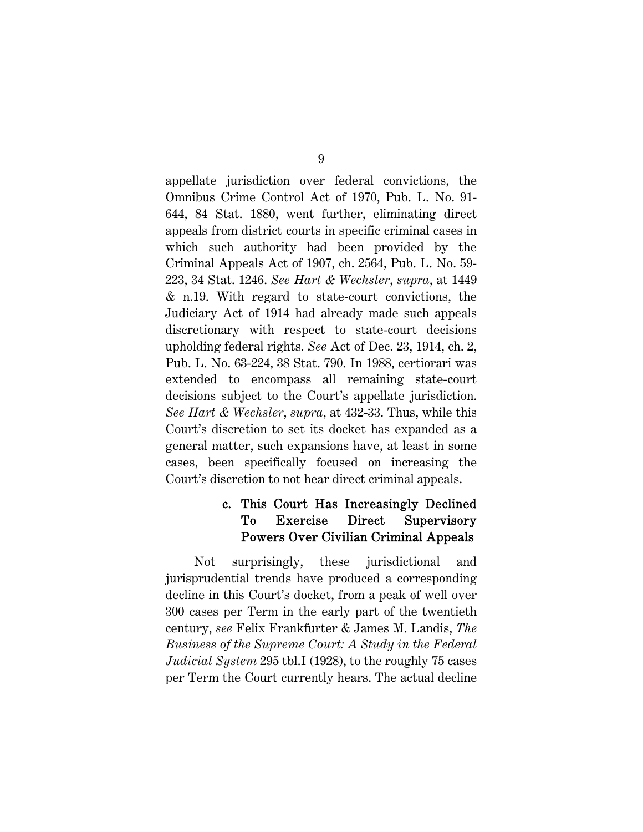appellate jurisdiction over federal convictions, the Omnibus Crime Control Act of 1970, Pub. L. No. 91- 644, 84 Stat. 1880, went further, eliminating direct appeals from district courts in specific criminal cases in which such authority had been provided by the Criminal Appeals Act of 1907, ch. 2564, Pub. L. No. 59- 223, 34 Stat. 1246. *See Hart & Wechsler*, *supra*, at 1449 & n.19. With regard to state-court convictions, the Judiciary Act of 1914 had already made such appeals discretionary with respect to state-court decisions upholding federal rights. *See* Act of Dec. 23, 1914, ch. 2, Pub. L. No. 63-224, 38 Stat. 790. In 1988, certiorari was extended to encompass all remaining state-court decisions subject to the Court's appellate jurisdiction. *See Hart & Wechsler*, *supra*, at 432-33. Thus, while this Court's discretion to set its docket has expanded as a general matter, such expansions have, at least in some cases, been specifically focused on increasing the Court's discretion to not hear direct criminal appeals.

## c. This Court Has Increasingly Declined To Exercise Direct Supervisory Powers Over Civilian Criminal Appeals

Not surprisingly, these jurisdictional and jurisprudential trends have produced a corresponding decline in this Court's docket, from a peak of well over 300 cases per Term in the early part of the twentieth century, *see* Felix Frankfurter & James M. Landis, *The Business of the Supreme Court: A Study in the Federal Judicial System* 295 tbl.I (1928), to the roughly 75 cases per Term the Court currently hears. The actual decline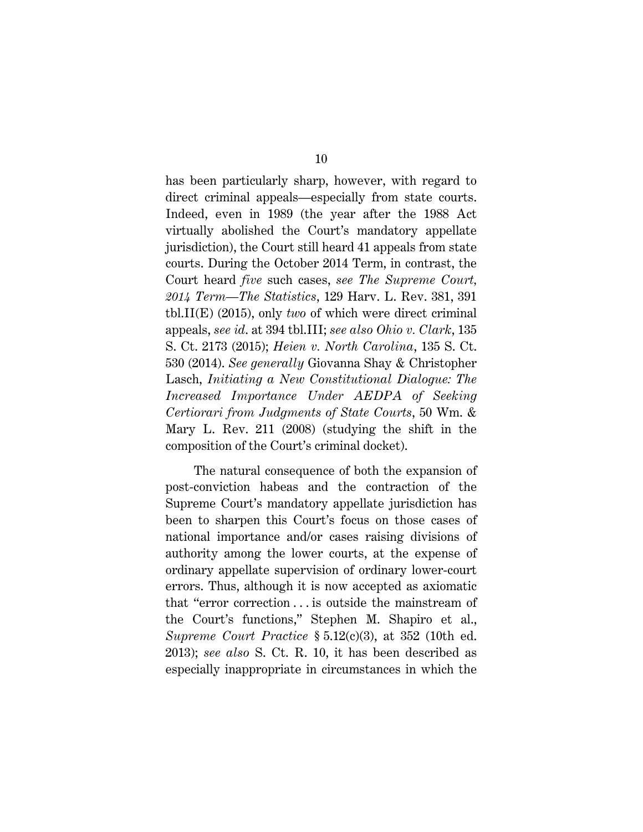has been particularly sharp, however, with regard to direct criminal appeals—especially from state courts. Indeed, even in 1989 (the year after the 1988 Act virtually abolished the Court's mandatory appellate jurisdiction), the Court still heard 41 appeals from state courts. During the October 2014 Term, in contrast, the Court heard *five* such cases, *see The Supreme Court, 2014 Term—The Statistics*, 129 Harv. L. Rev. 381, 391 tbl.II(E) (2015), only *two* of which were direct criminal appeals, *see id*. at 394 tbl.III; *see also Ohio v. Clark*, 135 S. Ct. 2173 (2015); *Heien v. North Carolina*, 135 S. Ct. 530 (2014). *See generally* Giovanna Shay & Christopher Lasch, *Initiating a New Constitutional Dialogue: The Increased Importance Under AEDPA of Seeking Certiorari from Judgments of State Courts*, 50 Wm. & Mary L. Rev. 211 (2008) (studying the shift in the composition of the Court's criminal docket).

The natural consequence of both the expansion of post-conviction habeas and the contraction of the Supreme Court's mandatory appellate jurisdiction has been to sharpen this Court's focus on those cases of national importance and/or cases raising divisions of authority among the lower courts, at the expense of ordinary appellate supervision of ordinary lower-court errors. Thus, although it is now accepted as axiomatic that "error correction . . . is outside the mainstream of the Court's functions," Stephen M. Shapiro et al., *Supreme Court Practice* § 5.12(c)(3), at 352 (10th ed. 2013); *see also* S. Ct. R. 10, it has been described as especially inappropriate in circumstances in which the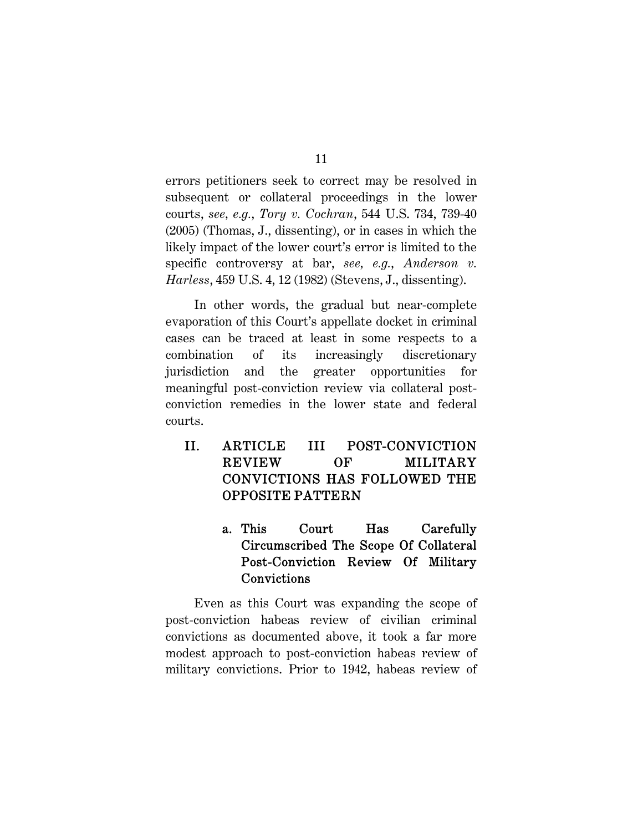errors petitioners seek to correct may be resolved in subsequent or collateral proceedings in the lower courts, *see, e.g.*, *Tory v. Cochran*, 544 U.S. 734, 739-40 (2005) (Thomas, J., dissenting), or in cases in which the likely impact of the lower court's error is limited to the specific controversy at bar, *see, e.g.*, *Anderson v. Harless*, 459 U.S. 4, 12 (1982) (Stevens, J., dissenting).

In other words, the gradual but near-complete evaporation of this Court's appellate docket in criminal cases can be traced at least in some respects to a combination of its increasingly discretionary jurisdiction and the greater opportunities for meaningful post-conviction review via collateral postconviction remedies in the lower state and federal courts.

- II. ARTICLE III POST-CONVICTION REVIEW OF MILITARY CONVICTIONS HAS FOLLOWED THE OPPOSITE PATTERN
	- a. This Court Has Carefully Circumscribed The Scope Of Collateral Post-Conviction Review Of Military Convictions

Even as this Court was expanding the scope of post-conviction habeas review of civilian criminal convictions as documented above, it took a far more modest approach to post-conviction habeas review of military convictions. Prior to 1942, habeas review of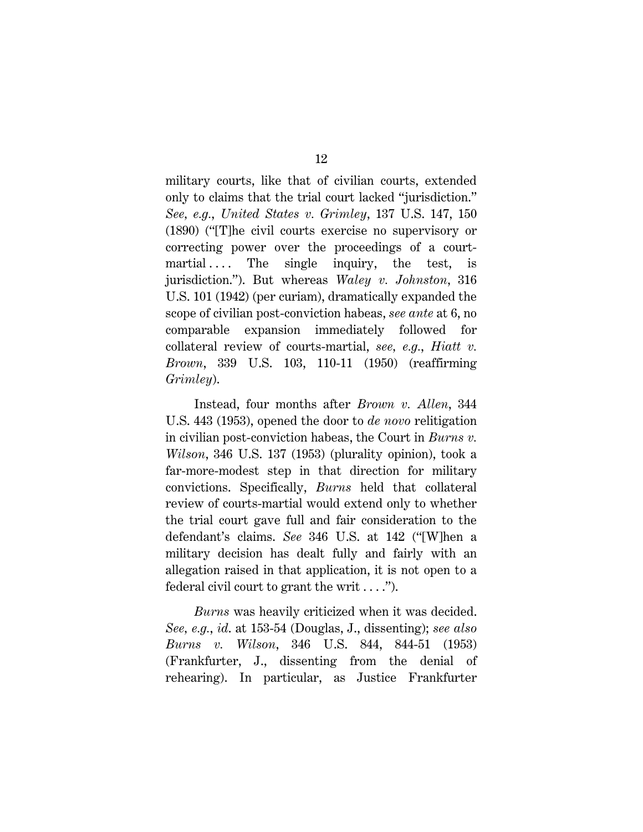military courts, like that of civilian courts, extended only to claims that the trial court lacked "jurisdiction." *See, e.g.*, *United States v. Grimley*, 137 U.S. 147, 150 (1890) ("[T]he civil courts exercise no supervisory or correcting power over the proceedings of a courtmartial .... The single inquiry, the test, is jurisdiction."). But whereas *Waley v. Johnston*, 316 U.S. 101 (1942) (per curiam), dramatically expanded the scope of civilian post-conviction habeas, *see ante* at 6, no comparable expansion immediately followed for collateral review of courts-martial, *see, e.g.*, *Hiatt v. Brown*, 339 U.S. 103, 110-11 (1950) (reaffirming *Grimley*).

Instead, four months after *Brown v. Allen*, 344 U.S. 443 (1953), opened the door to *de novo* relitigation in civilian post-conviction habeas, the Court in *Burns v. Wilson*, 346 U.S. 137 (1953) (plurality opinion), took a far-more-modest step in that direction for military convictions. Specifically, *Burns* held that collateral review of courts-martial would extend only to whether the trial court gave full and fair consideration to the defendant's claims. *See* 346 U.S. at 142 ("[W]hen a military decision has dealt fully and fairly with an allegation raised in that application, it is not open to a federal civil court to grant the writ  $\dots$ .").

*Burns* was heavily criticized when it was decided. *See, e.g.*, *id*. at 153-54 (Douglas, J., dissenting); *see also Burns v. Wilson*, 346 U.S. 844, 844-51 (1953) (Frankfurter, J., dissenting from the denial of rehearing). In particular, as Justice Frankfurter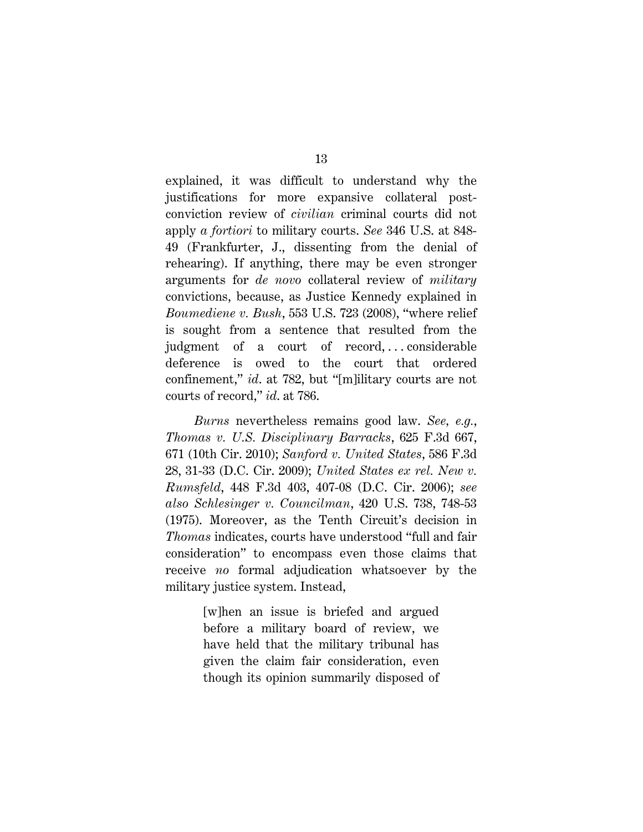explained, it was difficult to understand why the justifications for more expansive collateral postconviction review of *civilian* criminal courts did not apply *a fortiori* to military courts. *See* 346 U.S. at 848- 49 (Frankfurter, J., dissenting from the denial of rehearing). If anything, there may be even stronger arguments for *de novo* collateral review of *military* convictions, because, as Justice Kennedy explained in *Boumediene v. Bush*, 553 U.S. 723 (2008), "where relief is sought from a sentence that resulted from the judgment of a court of record,...considerable deference is owed to the court that ordered confinement," *id*. at 782, but "[m]ilitary courts are not courts of record," *id*. at 786.

*Burns* nevertheless remains good law. *See, e.g.*, *Thomas v. U.S. Disciplinary Barracks*, 625 F.3d 667, 671 (10th Cir. 2010); *Sanford v. United States*, 586 F.3d 28, 31-33 (D.C. Cir. 2009); *United States ex rel. New v. Rumsfeld*, 448 F.3d 403, 407-08 (D.C. Cir. 2006); *see also Schlesinger v. Councilman*, 420 U.S. 738, 748-53 (1975). Moreover, as the Tenth Circuit's decision in *Thomas* indicates, courts have understood "full and fair consideration" to encompass even those claims that receive *no* formal adjudication whatsoever by the military justice system. Instead,

> [w]hen an issue is briefed and argued before a military board of review, we have held that the military tribunal has given the claim fair consideration, even though its opinion summarily disposed of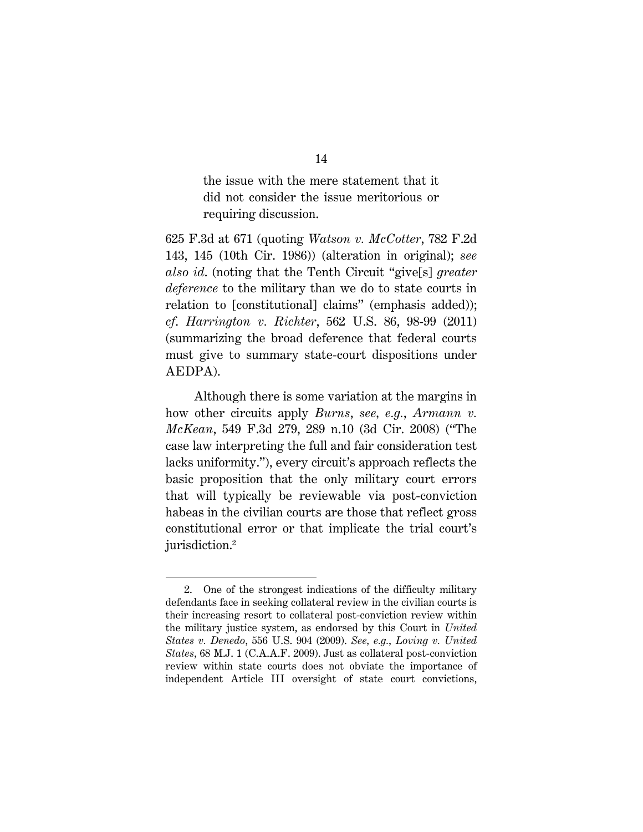the issue with the mere statement that it did not consider the issue meritorious or requiring discussion.

625 F.3d at 671 (quoting *Watson v. McCotter*, 782 F.2d 143, 145 (10th Cir. 1986)) (alteration in original); *see also id*. (noting that the Tenth Circuit "give[s] *greater deference* to the military than we do to state courts in relation to [constitutional] claims" (emphasis added)); *cf*. *Harrington v. Richter*, 562 U.S. 86, 98-99 (2011) (summarizing the broad deference that federal courts must give to summary state-court dispositions under AEDPA).

Although there is some variation at the margins in how other circuits apply *Burns*, *see, e.g.*, *Armann v. McKean*, 549 F.3d 279, 289 n.10 (3d Cir. 2008) ("The case law interpreting the full and fair consideration test lacks uniformity."), every circuit's approach reflects the basic proposition that the only military court errors that will typically be reviewable via post-conviction habeas in the civilian courts are those that reflect gross constitutional error or that implicate the trial court's jurisdiction.2

<sup>2.</sup> One of the strongest indications of the difficulty military defendants face in seeking collateral review in the civilian courts is their increasing resort to collateral post-conviction review within the military justice system, as endorsed by this Court in *United States v. Denedo*, 556 U.S. 904 (2009). *See, e.g.*, *Loving v. United States*, 68 M.J. 1 (C.A.A.F. 2009). Just as collateral post-conviction review within state courts does not obviate the importance of independent Article III oversight of state court convictions,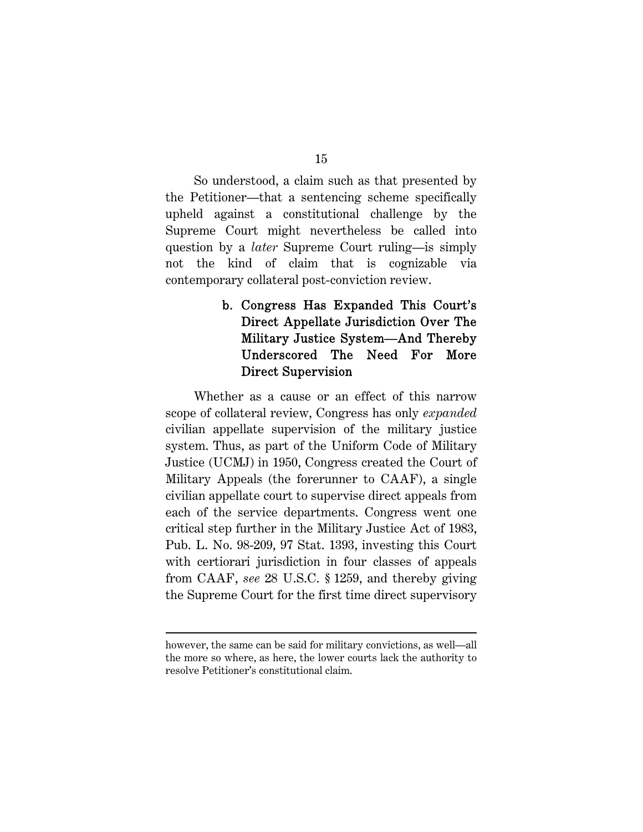So understood, a claim such as that presented by the Petitioner—that a sentencing scheme specifically upheld against a constitutional challenge by the Supreme Court might nevertheless be called into question by a *later* Supreme Court ruling—is simply not the kind of claim that is cognizable via contemporary collateral post-conviction review.

## b. Congress Has Expanded This Court's Direct Appellate Jurisdiction Over The Military Justice System—And Thereby Underscored The Need For More Direct Supervision

Whether as a cause or an effect of this narrow scope of collateral review, Congress has only *expanded* civilian appellate supervision of the military justice system. Thus, as part of the Uniform Code of Military Justice (UCMJ) in 1950, Congress created the Court of Military Appeals (the forerunner to CAAF), a single civilian appellate court to supervise direct appeals from each of the service departments. Congress went one critical step further in the Military Justice Act of 1983, Pub. L. No. 98-209, 97 Stat. 1393, investing this Court with certiorari jurisdiction in four classes of appeals from CAAF, *see* 28 U.S.C. § 1259, and thereby giving the Supreme Court for the first time direct supervisory

however, the same can be said for military convictions, as well—all the more so where, as here, the lower courts lack the authority to resolve Petitioner's constitutional claim.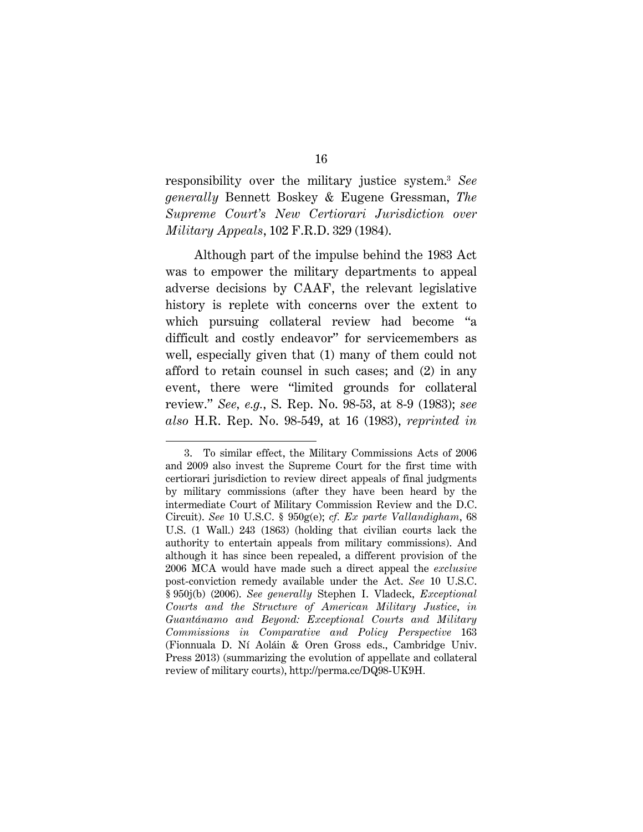responsibility over the military justice system.3 *See generally* Bennett Boskey & Eugene Gressman, *The Supreme Court's New Certiorari Jurisdiction over Military Appeals*, 102 F.R.D. 329 (1984).

Although part of the impulse behind the 1983 Act was to empower the military departments to appeal adverse decisions by CAAF, the relevant legislative history is replete with concerns over the extent to which pursuing collateral review had become "a difficult and costly endeavor" for servicemembers as well, especially given that (1) many of them could not afford to retain counsel in such cases; and (2) in any event, there were "limited grounds for collateral review." *See, e.g.*, S. Rep. No. 98-53, at 8-9 (1983); *see also* H.R. Rep. No. 98-549, at 16 (1983), *reprinted in*

<sup>3.</sup> To similar effect, the Military Commissions Acts of 2006 and 2009 also invest the Supreme Court for the first time with certiorari jurisdiction to review direct appeals of final judgments by military commissions (after they have been heard by the intermediate Court of Military Commission Review and the D.C. Circuit). *See* 10 U.S.C. § 950g(e); *cf. Ex parte Vallandigham*, 68 U.S. (1 Wall.) 243 (1863) (holding that civilian courts lack the authority to entertain appeals from military commissions). And although it has since been repealed, a different provision of the 2006 MCA would have made such a direct appeal the *exclusive* post-conviction remedy available under the Act. *See* 10 U.S.C. § 950j(b) (2006). *See generally* Stephen I. Vladeck, *Exceptional Courts and the Structure of American Military Justice*, *in Guantánamo and Beyond: Exceptional Courts and Military Commissions in Comparative and Policy Perspective* 163 (Fionnuala D. Ní Aoláin & Oren Gross eds., Cambridge Univ. Press 2013) (summarizing the evolution of appellate and collateral review of military courts), http://perma.cc/DQ98-UK9H*.*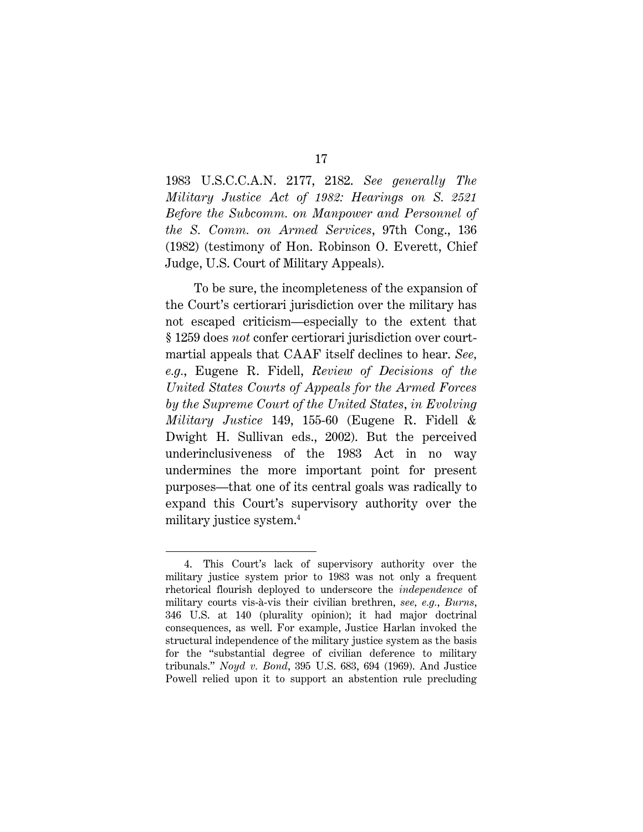1983 U.S.C.C.A.N. 2177, 2182. *See generally The Military Justice Act of 1982: Hearings on S. 2521 Before the Subcomm. on Manpower and Personnel of the S. Comm. on Armed Services*, 97th Cong., 136 (1982) (testimony of Hon. Robinson O. Everett, Chief Judge, U.S. Court of Military Appeals).

To be sure, the incompleteness of the expansion of the Court's certiorari jurisdiction over the military has not escaped criticism—especially to the extent that § 1259 does *not* confer certiorari jurisdiction over courtmartial appeals that CAAF itself declines to hear. *See, e.g.*, Eugene R. Fidell, *Review of Decisions of the United States Courts of Appeals for the Armed Forces by the Supreme Court of the United States*, *in Evolving Military Justice* 149, 155-60 (Eugene R. Fidell & Dwight H. Sullivan eds., 2002). But the perceived underinclusiveness of the 1983 Act in no way undermines the more important point for present purposes—that one of its central goals was radically to expand this Court's supervisory authority over the military justice system.4

<sup>4.</sup> This Court's lack of supervisory authority over the military justice system prior to 1983 was not only a frequent rhetorical flourish deployed to underscore the *independence* of military courts vis-à-vis their civilian brethren, *see, e.g.*, *Burns*, 346 U.S. at 140 (plurality opinion); it had major doctrinal consequences, as well. For example, Justice Harlan invoked the structural independence of the military justice system as the basis for the "substantial degree of civilian deference to military tribunals." *Noyd v. Bond*, 395 U.S. 683, 694 (1969). And Justice Powell relied upon it to support an abstention rule precluding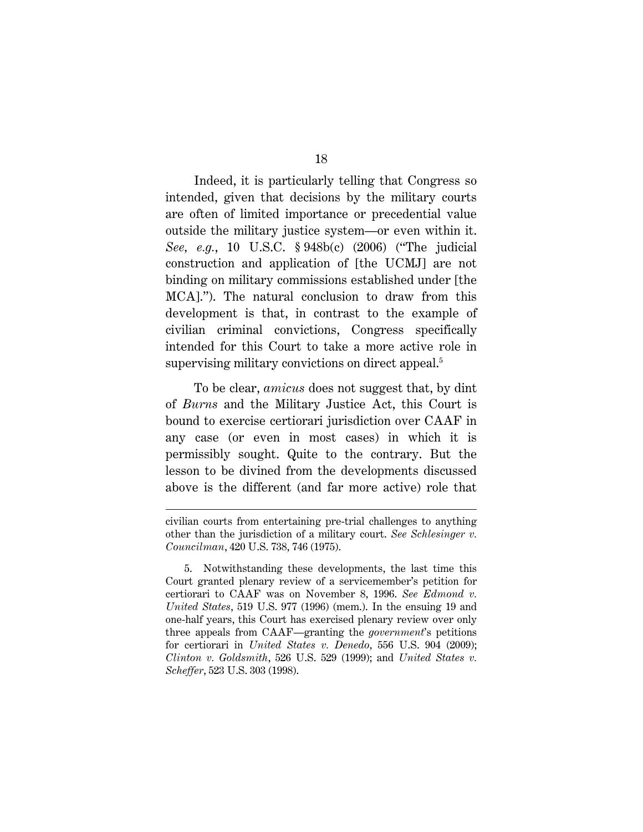Indeed, it is particularly telling that Congress so intended, given that decisions by the military courts are often of limited importance or precedential value outside the military justice system—or even within it. *See, e.g.*, 10 U.S.C. § 948b(c) (2006) ("The judicial construction and application of [the UCMJ] are not binding on military commissions established under [the MCA]."). The natural conclusion to draw from this development is that, in contrast to the example of civilian criminal convictions, Congress specifically intended for this Court to take a more active role in supervising military convictions on direct appeal.<sup>5</sup>

To be clear, *amicus* does not suggest that, by dint of *Burns* and the Military Justice Act, this Court is bound to exercise certiorari jurisdiction over CAAF in any case (or even in most cases) in which it is permissibly sought. Quite to the contrary. But the lesson to be divined from the developments discussed above is the different (and far more active) role that

civilian courts from entertaining pre-trial challenges to anything other than the jurisdiction of a military court. *See Schlesinger v. Councilman*, 420 U.S. 738, 746 (1975).

<sup>5.</sup> Notwithstanding these developments, the last time this Court granted plenary review of a servicemember's petition for certiorari to CAAF was on November 8, 1996. *See Edmond v. United States*, 519 U.S. 977 (1996) (mem.). In the ensuing 19 and one-half years, this Court has exercised plenary review over only three appeals from CAAF—granting the *government*'s petitions for certiorari in *United States v. Denedo*, 556 U.S. 904 (2009); *Clinton v. Goldsmith*, 526 U.S. 529 (1999); and *United States v. Scheffer*, 523 U.S. 303 (1998).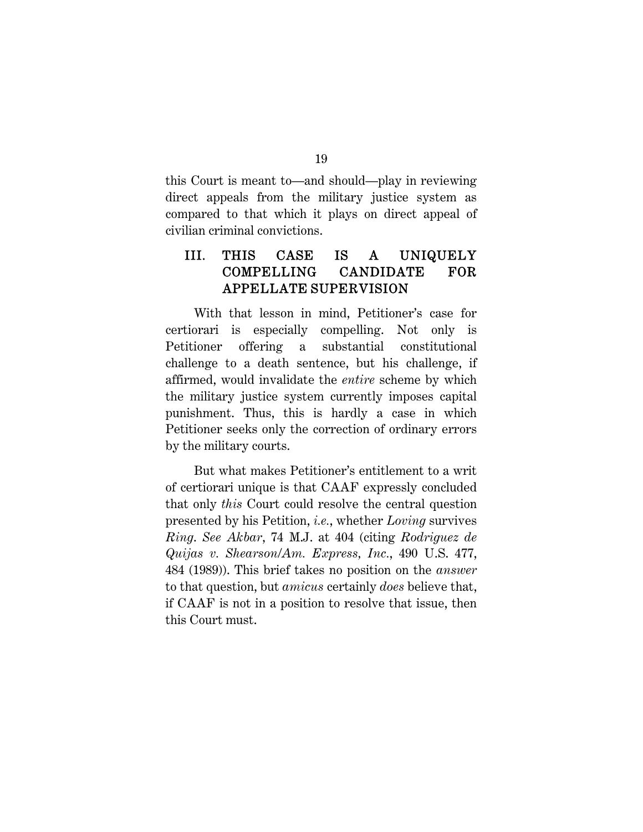this Court is meant to—and should—play in reviewing direct appeals from the military justice system as compared to that which it plays on direct appeal of civilian criminal convictions.

## III. THIS CASE IS A UNIQUELY COMPELLING CANDIDATE FOR APPELLATE SUPERVISION

With that lesson in mind, Petitioner's case for certiorari is especially compelling. Not only is Petitioner offering a substantial constitutional challenge to a death sentence, but his challenge, if affirmed, would invalidate the *entire* scheme by which the military justice system currently imposes capital punishment. Thus, this is hardly a case in which Petitioner seeks only the correction of ordinary errors by the military courts.

But what makes Petitioner's entitlement to a writ of certiorari unique is that CAAF expressly concluded that only *this* Court could resolve the central question presented by his Petition, *i.e.*, whether *Loving* survives *Ring*. *See Akbar*, 74 M.J. at 404 (citing *Rodriguez de Quijas v. Shearson/Am. Express, Inc.*, 490 U.S. 477, 484 (1989)). This brief takes no position on the *answer* to that question, but *amicus* certainly *does* believe that, if CAAF is not in a position to resolve that issue, then this Court must.